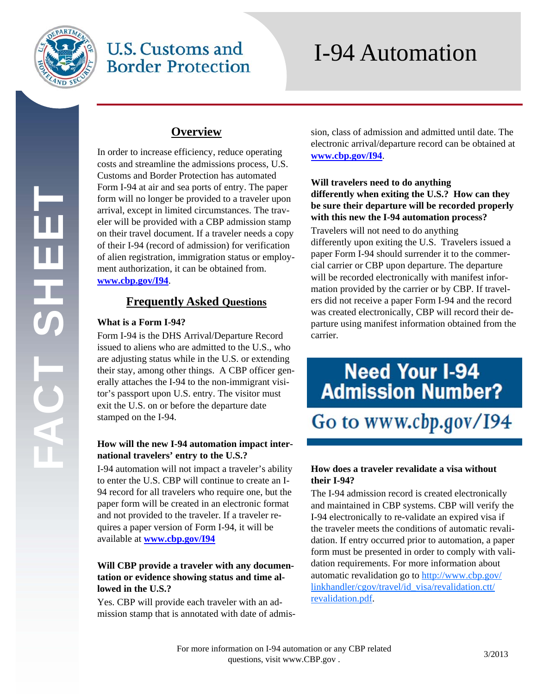

EH<br>S<br>H<br>S

## **U.S. Customs and Border Protection**

# I-94 Automation

### **Overview**

In order to increase efficiency, reduce operating costs and streamline the admissions process, U.S. Customs and Border Protection has automated Form I-94 at air and sea ports of entry. The paper form will no longer be provided to a traveler upon arrival, except in limited circumstances. The traveler will be provided with a CBP admission stamp on their travel document. If a traveler needs a copy of their I-94 (record of admission) for verification of alien registration, immigration status or employment authorization, it can be obtained from. **www.cbp.gov/I94**.

### **Frequently Asked Questions**

### **What is a Form I-94?**

Form I-94 is the DHS Arrival/Departure Record issued to aliens who are admitted to the U.S., who are adjusting status while in the U.S. or extending their stay, among other things. A CBP officer generally attaches the I-94 to the non-immigrant visitor's passport upon U.S. entry. The visitor must exit the U.S. on or before the departure date stamped on the I-94.

### **How will the new I-94 automation impact international travelers' entry to the U.S.?**

I-94 automation will not impact a traveler's ability to enter the U.S. CBP will continue to create an I-94 record for all travelers who require one, but the paper form will be created in an electronic format and not provided to the traveler. If a traveler requires a paper version of Form I-94, it will be available at **www.cbp.gov/I94**

### **Will CBP provide a traveler with any documentation or evidence showing status and time allowed in the U.S.?**

Yes. CBP will provide each traveler with an admission stamp that is annotated with date of admission, class of admission and admitted until date. The electronic arrival/departure record can be obtained at **www.cbp.gov/I94**.

#### **Will travelers need to do anything differently when exiting the U.S.? How can they be sure their departure will be recorded properly with this new the I-94 automation process?**

Travelers will not need to do anything differently upon exiting the U.S. Travelers issued a paper Form I-94 should surrender it to the commercial carrier or CBP upon departure. The departure will be recorded electronically with manifest information provided by the carrier or by CBP. If travelers did not receive a paper Form I-94 and the record was created electronically, CBP will record their departure using manifest information obtained from the carrier.

# **Need Your I-94 Read Tour 1-94**<br>Admission Number?

Go to www.cbp.gov/I94

### **How does a traveler revalidate a visa without their I-94?**

The I-94 admission record is created electronically and maintained in CBP systems. CBP will verify the I-94 electronically to re-validate an expired visa if the traveler meets the conditions of automatic revalidation. If entry occurred prior to automation, a paper form must be presented in order to comply with validation requirements. For more information about automatic revalidation go to http://www.cbp.gov/ linkhandler/cgov/travel/id\_visa/revalidation.ctt/ revalidation.pdf.